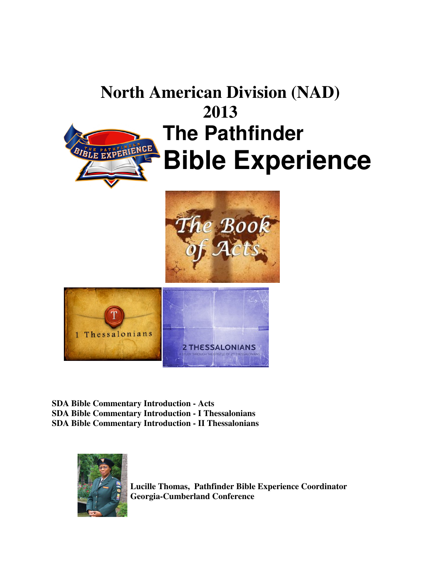# **North American Division (NAD) 2013 The Pathfinder** NCE **Bible Experience**





**SDA Bible Commentary Introduction - Acts SDA Bible Commentary Introduction - I Thessalonians SDA Bible Commentary Introduction - II Thessalonians** 



**Lucille Thomas, Pathfinder Bible Experience Coordinator Georgia-Cumberland Conference**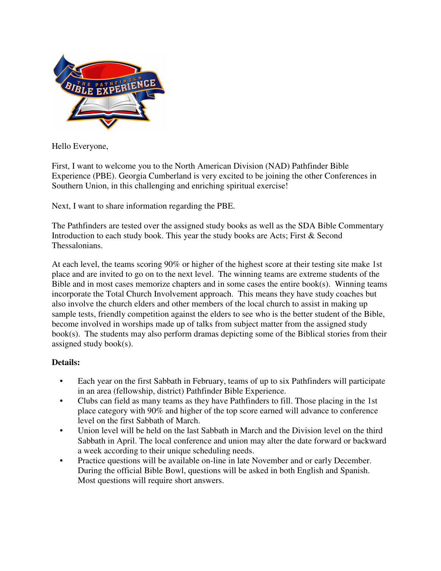

Hello Everyone,

First, I want to welcome you to the North American Division (NAD) Pathfinder Bible Experience (PBE). Georgia Cumberland is very excited to be joining the other Conferences in Southern Union, in this challenging and enriching spiritual exercise!

Next, I want to share information regarding the PBE.

The Pathfinders are tested over the assigned study books as well as the SDA Bible Commentary Introduction to each study book. This year the study books are Acts; First & Second Thessalonians.

At each level, the teams scoring 90% or higher of the highest score at their testing site make 1st place and are invited to go on to the next level. The winning teams are extreme students of the Bible and in most cases memorize chapters and in some cases the entire book(s). Winning teams incorporate the Total Church Involvement approach. This means they have study coaches but also involve the church elders and other members of the local church to assist in making up sample tests, friendly competition against the elders to see who is the better student of the Bible, become involved in worships made up of talks from subject matter from the assigned study book(s). The students may also perform dramas depicting some of the Biblical stories from their assigned study book(s).

## **Details:**

- Each year on the first Sabbath in February, teams of up to six Pathfinders will participate in an area (fellowship, district) Pathfinder Bible Experience.
- Clubs can field as many teams as they have Pathfinders to fill. Those placing in the 1st place category with 90% and higher of the top score earned will advance to conference level on the first Sabbath of March.
- Union level will be held on the last Sabbath in March and the Division level on the third Sabbath in April. The local conference and union may alter the date forward or backward a week according to their unique scheduling needs.
- Practice questions will be available on-line in late November and or early December. During the official Bible Bowl, questions will be asked in both English and Spanish. Most questions will require short answers.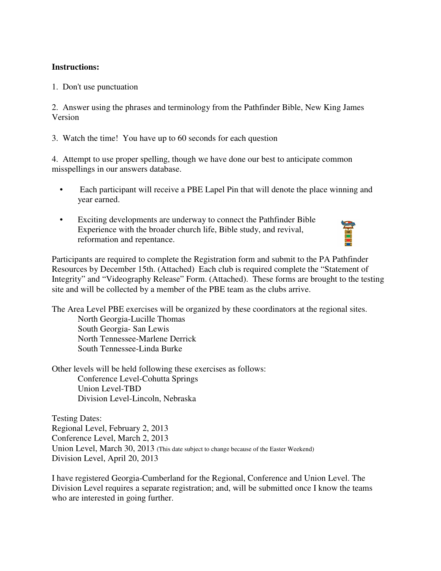### **Instructions:**

1. Don't use punctuation

2. Answer using the phrases and terminology from the Pathfinder Bible, New King James Version

3. Watch the time! You have up to 60 seconds for each question

4. Attempt to use proper spelling, though we have done our best to anticipate common misspellings in our answers database.

- Each participant will receive a PBE Lapel Pin that will denote the place winning and year earned.
- Exciting developments are underway to connect the Pathfinder Bible Experience with the broader church life, Bible study, and revival, reformation and repentance.

Participants are required to complete the Registration form and submit to the PA Pathfinder Resources by December 15th. (Attached) Each club is required complete the "Statement of Integrity" and "Videography Release" Form. (Attached). These forms are brought to the testing site and will be collected by a member of the PBE team as the clubs arrive.

全国

The Area Level PBE exercises will be organized by these coordinators at the regional sites. North Georgia-Lucille Thomas South Georgia- San Lewis North Tennessee-Marlene Derrick South Tennessee-Linda Burke

Other levels will be held following these exercises as follows: Conference Level-Cohutta Springs Union Level-TBD Division Level-Lincoln, Nebraska

Testing Dates: Regional Level, February 2, 2013 Conference Level, March 2, 2013 Union Level, March 30, 2013 (This date subject to change because of the Easter Weekend) Division Level, April 20, 2013

I have registered Georgia-Cumberland for the Regional, Conference and Union Level. The Division Level requires a separate registration; and, will be submitted once I know the teams who are interested in going further.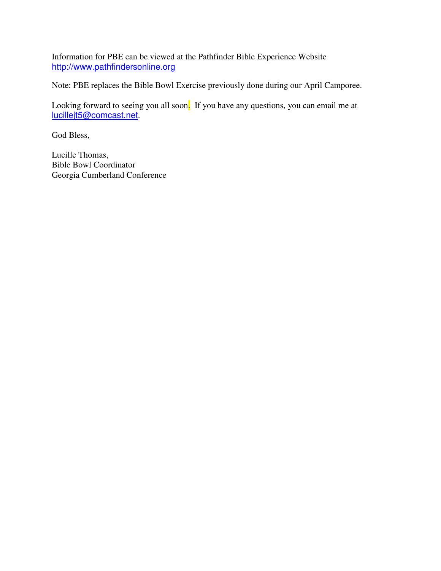Information for PBE can be viewed at the Pathfinder Bible Experience Website http://www.pathfindersonline.org

Note: PBE replaces the Bible Bowl Exercise previously done during our April Camporee.

Looking forward to seeing you all soon. If you have any questions, you can email me at lucillejt5@comcast.net.

God Bless,

Lucille Thomas, Bible Bowl Coordinator Georgia Cumberland Conference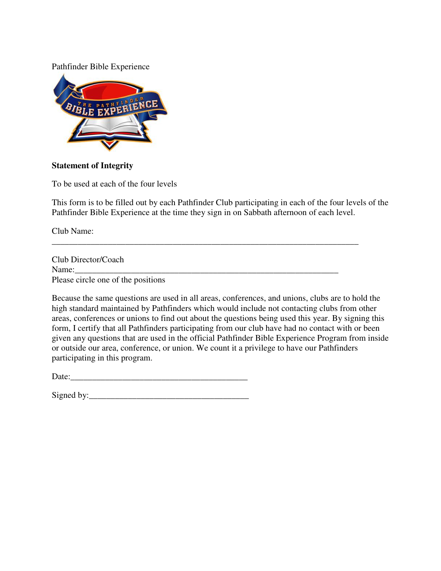#### Pathfinder Bible Experience



#### **Statement of Integrity**

To be used at each of the four levels

This form is to be filled out by each Pathfinder Club participating in each of the four levels of the Pathfinder Bible Experience at the time they sign in on Sabbath afternoon of each level.

\_\_\_\_\_\_\_\_\_\_\_\_\_\_\_\_\_\_\_\_\_\_\_\_\_\_\_\_\_\_\_\_\_\_\_\_\_\_\_\_\_\_\_\_\_\_\_\_\_\_\_\_\_\_\_\_\_\_\_\_\_\_\_\_\_\_\_\_\_\_\_

Club Name:

Club Director/Coach Name: Please circle one of the positions

Because the same questions are used in all areas, conferences, and unions, clubs are to hold the high standard maintained by Pathfinders which would include not contacting clubs from other areas, conferences or unions to find out about the questions being used this year. By signing this form, I certify that all Pathfinders participating from our club have had no contact with or been given any questions that are used in the official Pathfinder Bible Experience Program from inside or outside our area, conference, or union. We count it a privilege to have our Pathfinders participating in this program.

| Signed by: |  |  |
|------------|--|--|
|            |  |  |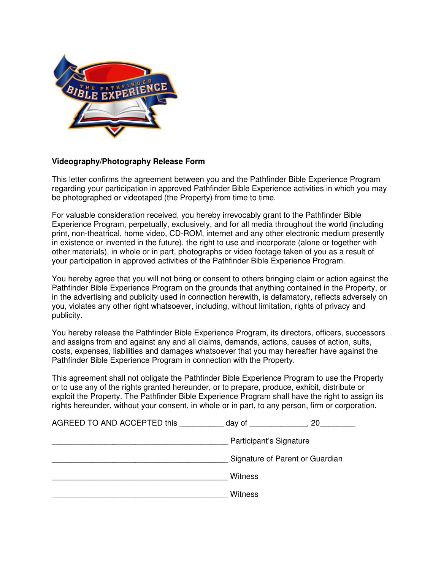

#### **Videography/Photography Release Form**

This letter confirms the agreement between you and the Pathfinder Bible Experience Program regarding your participation in approved Pathfinder Bible Experience activities in which you may be photographed or videotaped (the Property) from time to time.

For valuable consideration received, you hereby irrevocably grant to the Pathfinder Bible Experience Program, perpetually, exclusively, and for all media throughout the world (including print, non-theatrical, home video, CD-ROM, internet and any other electronic medium presently in existence or invented in the future), the right to use and incorporate (alone or together with other materials), in whole or in part, photographs or video footage taken of you as a result of your participation in approved activities of the Pathfinder Bible Experience Program.

You hereby agree that you will not bring or consent to others bringing claim or action against the Pathfinder Bible Experience Program on the grounds that anything contained in the Property, or in the advertising and publicity used in connection herewith, is defamatory, reflects adversely on you, violates any other right whatsoever, including, without limitation, rights of privacy and publicity.

You hereby release the Pathfinder Bible Experience Program, its directors, officers, successors and assigns from and against any and all claims, demands, actions, causes of action, suits, costs, expenses, liabilities and damages whatsoever that you may hereafter have against the Pathfinder Bible Experience Program in connection with the Property.

This agreement shall not obligate the Pathfinder Bible Experience Program to use the Property or to use any of the rights granted hereunder, or to prepare, produce, exhibit, distribute or exploit the Property. The Pathfinder Bible Experience Program shall have the right to assign its rights hereunder, without your consent, in whole or in part, to any person, firm or corporation.

| AGREED TO AND ACCEPTED this | day of                  | 20                              |  |
|-----------------------------|-------------------------|---------------------------------|--|
|                             | Participant's Signature |                                 |  |
|                             |                         | Signature of Parent or Guardian |  |
|                             | <b>Witness</b>          |                                 |  |
|                             | Witness                 |                                 |  |